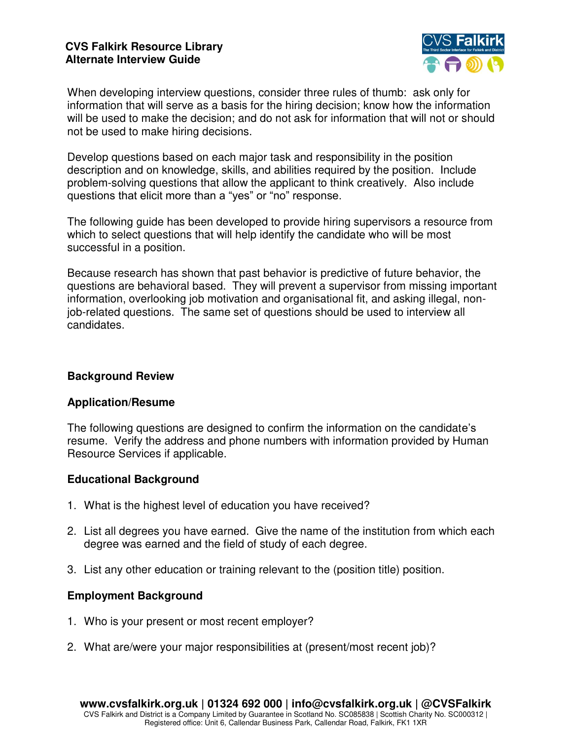

When developing interview questions, consider three rules of thumb: ask only for information that will serve as a basis for the hiring decision; know how the information will be used to make the decision; and do not ask for information that will not or should not be used to make hiring decisions.

Develop questions based on each major task and responsibility in the position description and on knowledge, skills, and abilities required by the position. Include problem-solving questions that allow the applicant to think creatively. Also include questions that elicit more than a "yes" or "no" response.

The following guide has been developed to provide hiring supervisors a resource from which to select questions that will help identify the candidate who will be most successful in a position.

Because research has shown that past behavior is predictive of future behavior, the questions are behavioral based. They will prevent a supervisor from missing important information, overlooking job motivation and organisational fit, and asking illegal, nonjob-related questions. The same set of questions should be used to interview all candidates.

## **Background Review**

### **Application/Resume**

The following questions are designed to confirm the information on the candidate's resume. Verify the address and phone numbers with information provided by Human Resource Services if applicable.

# **Educational Background**

- 1. What is the highest level of education you have received?
- 2. List all degrees you have earned. Give the name of the institution from which each degree was earned and the field of study of each degree.
- 3. List any other education or training relevant to the (position title) position.

# **Employment Background**

- 1. Who is your present or most recent employer?
- 2. What are/were your major responsibilities at (present/most recent job)?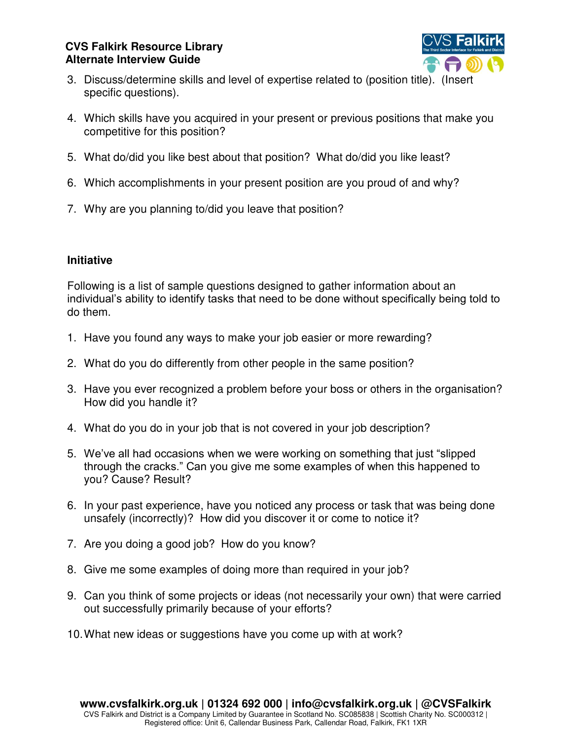

- 3. Discuss/determine skills and level of expertise related to (position title). (Insert specific questions).
- 4. Which skills have you acquired in your present or previous positions that make you competitive for this position?
- 5. What do/did you like best about that position? What do/did you like least?
- 6. Which accomplishments in your present position are you proud of and why?
- 7. Why are you planning to/did you leave that position?

### **Initiative**

Following is a list of sample questions designed to gather information about an individual's ability to identify tasks that need to be done without specifically being told to do them.

- 1. Have you found any ways to make your job easier or more rewarding?
- 2. What do you do differently from other people in the same position?
- 3. Have you ever recognized a problem before your boss or others in the organisation? How did you handle it?
- 4. What do you do in your job that is not covered in your job description?
- 5. We've all had occasions when we were working on something that just "slipped through the cracks." Can you give me some examples of when this happened to you? Cause? Result?
- 6. In your past experience, have you noticed any process or task that was being done unsafely (incorrectly)? How did you discover it or come to notice it?
- 7. Are you doing a good job? How do you know?
- 8. Give me some examples of doing more than required in your job?
- 9. Can you think of some projects or ideas (not necessarily your own) that were carried out successfully primarily because of your efforts?
- 10. What new ideas or suggestions have you come up with at work?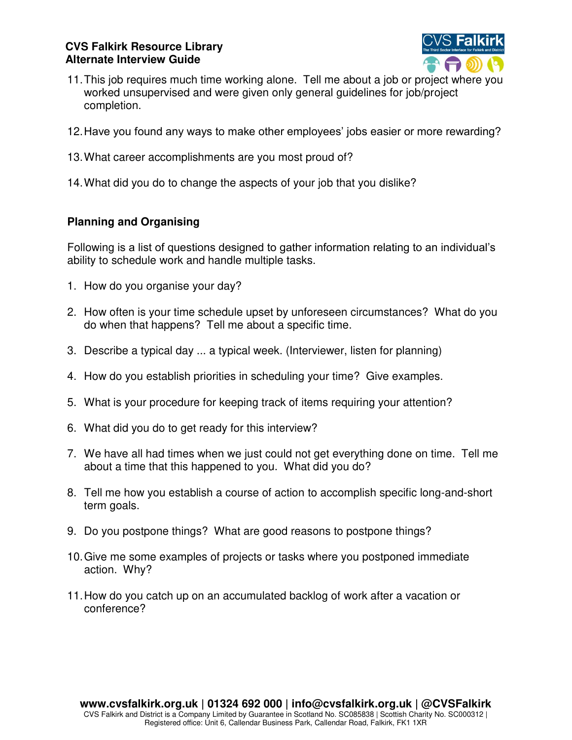

- 11. This job requires much time working alone. Tell me about a job or project where you worked unsupervised and were given only general guidelines for job/project completion.
- 12.Have you found any ways to make other employees' jobs easier or more rewarding?
- 13. What career accomplishments are you most proud of?
- 14. What did you do to change the aspects of your job that you dislike?

# **Planning and Organising**

Following is a list of questions designed to gather information relating to an individual's ability to schedule work and handle multiple tasks.

- 1. How do you organise your day?
- 2. How often is your time schedule upset by unforeseen circumstances? What do you do when that happens? Tell me about a specific time.
- 3. Describe a typical day ... a typical week. (Interviewer, listen for planning)
- 4. How do you establish priorities in scheduling your time? Give examples.
- 5. What is your procedure for keeping track of items requiring your attention?
- 6. What did you do to get ready for this interview?
- 7. We have all had times when we just could not get everything done on time. Tell me about a time that this happened to you. What did you do?
- 8. Tell me how you establish a course of action to accomplish specific long-and-short term goals.
- 9. Do you postpone things? What are good reasons to postpone things?
- 10. Give me some examples of projects or tasks where you postponed immediate action. Why?
- 11. How do you catch up on an accumulated backlog of work after a vacation or conference?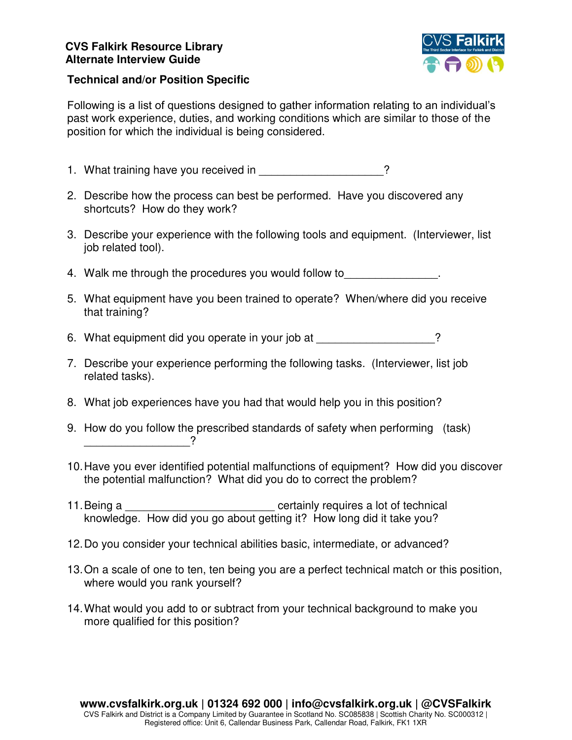

#### **Technical and/or Position Specific**

Following is a list of questions designed to gather information relating to an individual's past work experience, duties, and working conditions which are similar to those of the position for which the individual is being considered.

1. What training have you received in The State of the State of the State of the State of the State of the State of the State of the State of the State of the State of the State of the State of the State of the State of th

- 2. Describe how the process can best be performed. Have you discovered any shortcuts? How do they work?
- 3. Describe your experience with the following tools and equipment. (Interviewer, list job related tool).
- 4. Walk me through the procedures you would follow to  $\blacksquare$
- 5. What equipment have you been trained to operate? When/where did you receive that training?
- 6. What equipment did you operate in your job at  $\sim$
- 7. Describe your experience performing the following tasks. (Interviewer, list job related tasks).
- 8. What job experiences have you had that would help you in this position?
- 9. How do you follow the prescribed standards of safety when performing (task) \_\_\_\_\_\_\_\_\_\_\_\_\_\_\_\_\_?
- 10. Have you ever identified potential malfunctions of equipment? How did you discover the potential malfunction? What did you do to correct the problem?
- 11. Being a certainly requires a lot of technical knowledge. How did you go about getting it? How long did it take you?
- 12. Do you consider your technical abilities basic, intermediate, or advanced?
- 13. On a scale of one to ten, ten being you are a perfect technical match or this position, where would you rank yourself?
- 14. What would you add to or subtract from your technical background to make you more qualified for this position?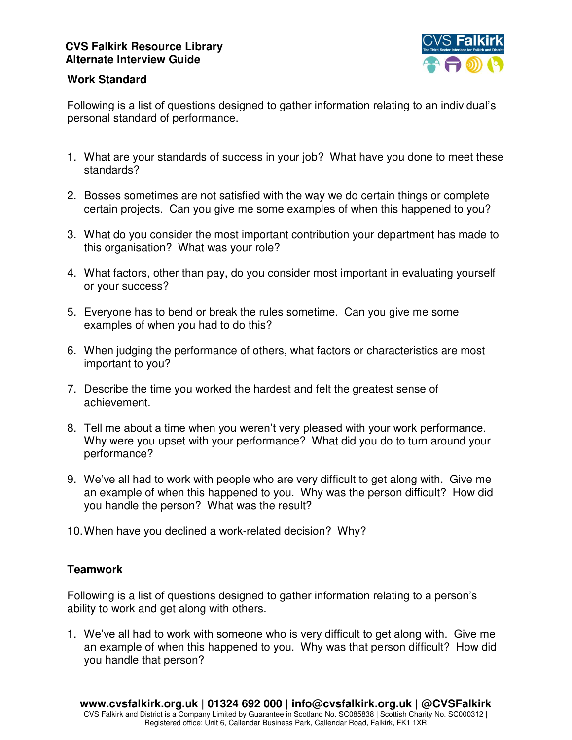

### **Work Standard**

Following is a list of questions designed to gather information relating to an individual's personal standard of performance.

- 1. What are your standards of success in your job? What have you done to meet these standards?
- 2. Bosses sometimes are not satisfied with the way we do certain things or complete certain projects. Can you give me some examples of when this happened to you?
- 3. What do you consider the most important contribution your department has made to this organisation? What was your role?
- 4. What factors, other than pay, do you consider most important in evaluating yourself or your success?
- 5. Everyone has to bend or break the rules sometime. Can you give me some examples of when you had to do this?
- 6. When judging the performance of others, what factors or characteristics are most important to you?
- 7. Describe the time you worked the hardest and felt the greatest sense of achievement.
- 8. Tell me about a time when you weren't very pleased with your work performance. Why were you upset with your performance? What did you do to turn around your performance?
- 9. We've all had to work with people who are very difficult to get along with. Give me an example of when this happened to you. Why was the person difficult? How did you handle the person? What was the result?
- 10. When have you declined a work-related decision? Why?

# **Teamwork**

Following is a list of questions designed to gather information relating to a person's ability to work and get along with others.

1. We've all had to work with someone who is very difficult to get along with. Give me an example of when this happened to you. Why was that person difficult? How did you handle that person?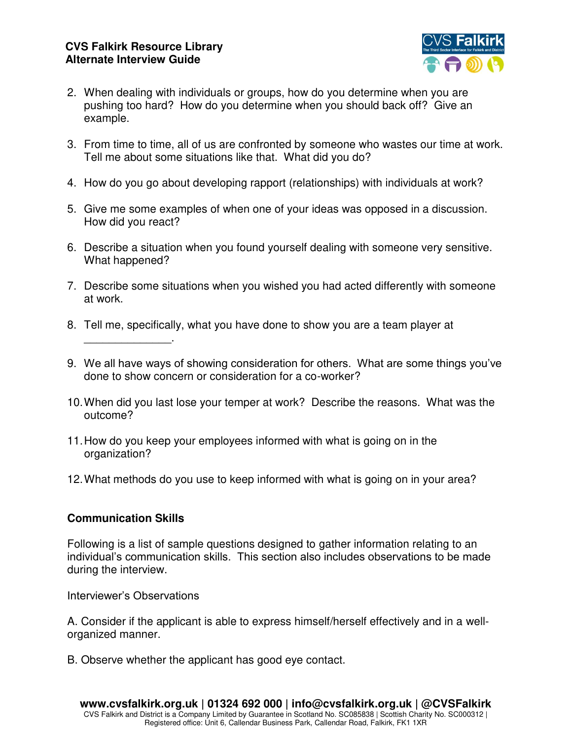

- 2. When dealing with individuals or groups, how do you determine when you are pushing too hard? How do you determine when you should back off? Give an example.
- 3. From time to time, all of us are confronted by someone who wastes our time at work. Tell me about some situations like that. What did you do?
- 4. How do you go about developing rapport (relationships) with individuals at work?
- 5. Give me some examples of when one of your ideas was opposed in a discussion. How did you react?
- 6. Describe a situation when you found yourself dealing with someone very sensitive. What happened?
- 7. Describe some situations when you wished you had acted differently with someone at work.
- 8. Tell me, specifically, what you have done to show you are a team player at
- 9. We all have ways of showing consideration for others. What are some things you've done to show concern or consideration for a co-worker?
- 10. When did you last lose your temper at work? Describe the reasons. What was the outcome?
- 11. How do you keep your employees informed with what is going on in the organization?
- 12. What methods do you use to keep informed with what is going on in your area?

# **Communication Skills**

\_\_\_\_\_\_\_\_\_\_\_\_\_\_.

Following is a list of sample questions designed to gather information relating to an individual's communication skills. This section also includes observations to be made during the interview.

Interviewer's Observations

A. Consider if the applicant is able to express himself/herself effectively and in a wellorganized manner.

B. Observe whether the applicant has good eye contact.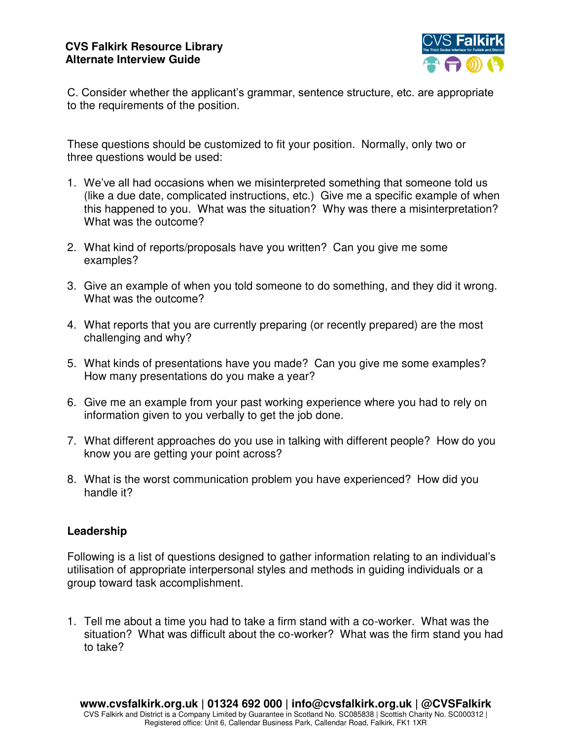

C. Consider whether the applicant's grammar, sentence structure, etc. are appropriate to the requirements of the position.

These questions should be customized to fit your position. Normally, only two or three questions would be used:

- 1. We've all had occasions when we misinterpreted something that someone told us (like a due date, complicated instructions, etc.) Give me a specific example of when this happened to you. What was the situation? Why was there a misinterpretation? What was the outcome?
- 2. What kind of reports/proposals have you written? Can you give me some examples?
- 3. Give an example of when you told someone to do something, and they did it wrong. What was the outcome?
- 4. What reports that you are currently preparing (or recently prepared) are the most challenging and why?
- 5. What kinds of presentations have you made? Can you give me some examples? How many presentations do you make a year?
- 6. Give me an example from your past working experience where you had to rely on information given to you verbally to get the job done.
- 7. What different approaches do you use in talking with different people? How do you know you are getting your point across?
- 8. What is the worst communication problem you have experienced? How did you handle it?

# **Leadership**

Following is a list of questions designed to gather information relating to an individual's utilisation of appropriate interpersonal styles and methods in guiding individuals or a group toward task accomplishment.

1. Tell me about a time you had to take a firm stand with a co-worker. What was the situation? What was difficult about the co-worker? What was the firm stand you had to take?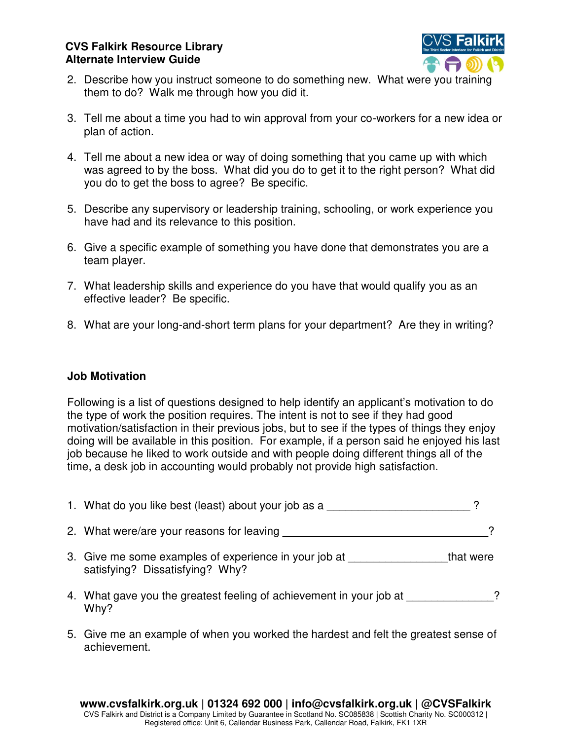

- 2. Describe how you instruct someone to do something new. What were you training them to do? Walk me through how you did it.
- 3. Tell me about a time you had to win approval from your co-workers for a new idea or plan of action.
- 4. Tell me about a new idea or way of doing something that you came up with which was agreed to by the boss. What did you do to get it to the right person? What did you do to get the boss to agree? Be specific.
- 5. Describe any supervisory or leadership training, schooling, or work experience you have had and its relevance to this position.
- 6. Give a specific example of something you have done that demonstrates you are a team player.
- 7. What leadership skills and experience do you have that would qualify you as an effective leader? Be specific.
- 8. What are your long-and-short term plans for your department? Are they in writing?

### **Job Motivation**

Following is a list of questions designed to help identify an applicant's motivation to do the type of work the position requires. The intent is not to see if they had good motivation/satisfaction in their previous jobs, but to see if the types of things they enjoy doing will be available in this position. For example, if a person said he enjoyed his last job because he liked to work outside and with people doing different things all of the time, a desk job in accounting would probably not provide high satisfaction.

| 1. What do you like best (least) about your job as a                                     |           |
|------------------------------------------------------------------------------------------|-----------|
| 2. What were/are your reasons for leaving                                                |           |
| 3. Give me some examples of experience in your job at<br>satisfying? Dissatisfying? Why? | that were |
| 4. What gave you the greatest feeling of achievement in your job at<br>Why?              | 2         |

5. Give me an example of when you worked the hardest and felt the greatest sense of achievement.